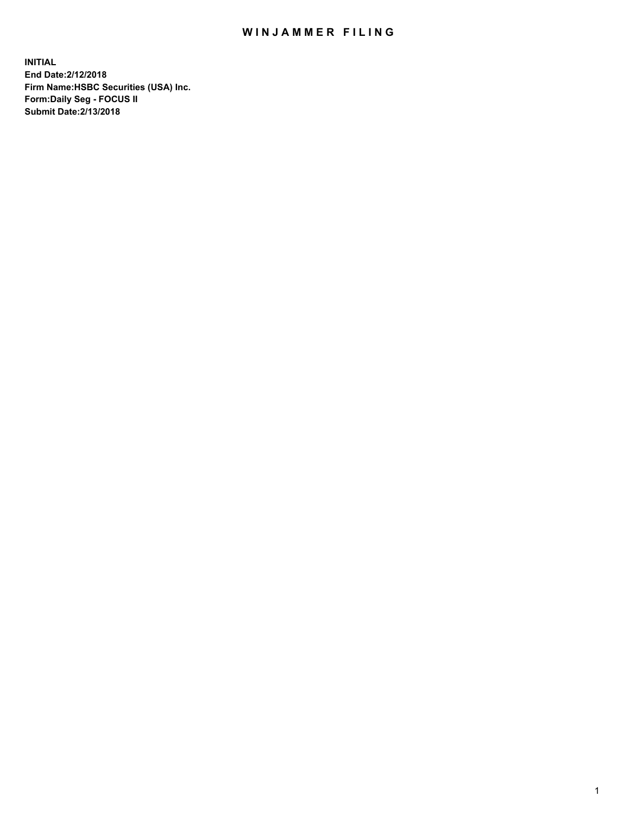## WIN JAMMER FILING

**INITIAL End Date:2/12/2018 Firm Name:HSBC Securities (USA) Inc. Form:Daily Seg - FOCUS II Submit Date:2/13/2018**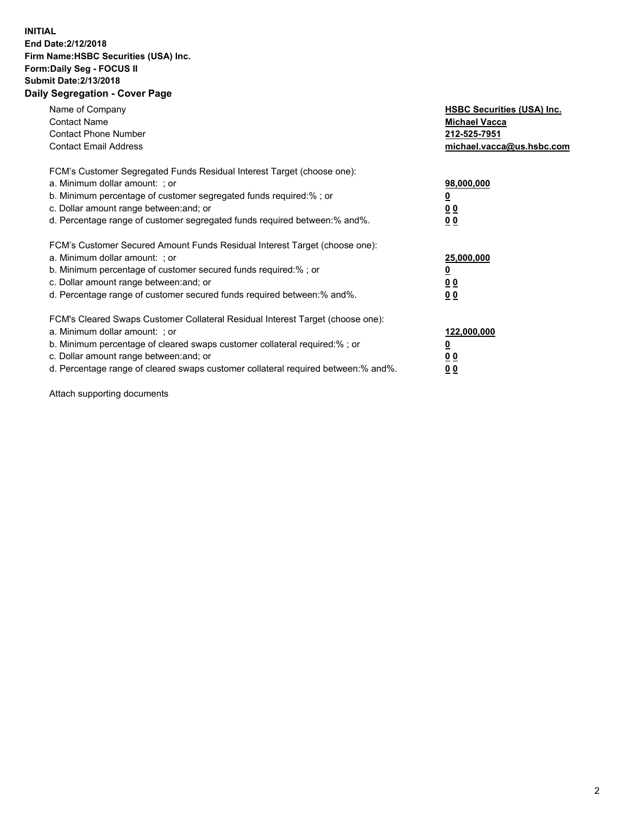## **INITIAL End Date:2/12/2018 Firm Name:HSBC Securities (USA) Inc. Form:Daily Seg - FOCUS II Submit Date:2/13/2018 Daily Segregation - Cover Page**

| Name of Company<br><b>Contact Name</b><br><b>Contact Phone Number</b><br><b>Contact Email Address</b>                                                                                                                                                                                                                         | <b>HSBC Securities (USA) Inc.</b><br><b>Michael Vacca</b><br>212-525-7951<br>michael.vacca@us.hsbc.com |
|-------------------------------------------------------------------------------------------------------------------------------------------------------------------------------------------------------------------------------------------------------------------------------------------------------------------------------|--------------------------------------------------------------------------------------------------------|
| FCM's Customer Segregated Funds Residual Interest Target (choose one):<br>a. Minimum dollar amount: ; or<br>b. Minimum percentage of customer segregated funds required:%; or<br>c. Dollar amount range between: and; or<br>d. Percentage range of customer segregated funds required between: % and %.                       | 98,000,000<br><u>0</u><br><u>00</u><br><u>00</u>                                                       |
| FCM's Customer Secured Amount Funds Residual Interest Target (choose one):<br>a. Minimum dollar amount: ; or<br>b. Minimum percentage of customer secured funds required:%; or<br>c. Dollar amount range between: and; or<br>d. Percentage range of customer secured funds required between: % and %.                         | 25,000,000<br><u>0</u><br><u>00</u><br>00                                                              |
| FCM's Cleared Swaps Customer Collateral Residual Interest Target (choose one):<br>a. Minimum dollar amount: ; or<br>b. Minimum percentage of cleared swaps customer collateral required:%; or<br>c. Dollar amount range between: and; or<br>d. Percentage range of cleared swaps customer collateral required between:% and%. | 122,000,000<br><u>0</u><br><u>00</u><br><u>00</u>                                                      |

Attach supporting documents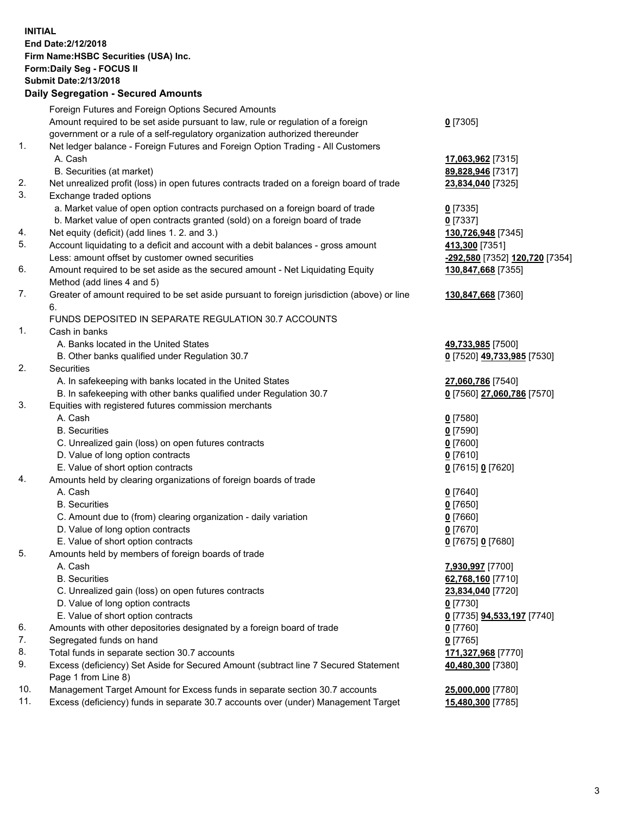**INITIAL End Date:2/12/2018 Firm Name:HSBC Securities (USA) Inc. Form:Daily Seg - FOCUS II Submit Date:2/13/2018 Daily Segregation - Secured Amounts**

|     | Daily Segregation - Secured Amounts                                                         |                                |
|-----|---------------------------------------------------------------------------------------------|--------------------------------|
|     | Foreign Futures and Foreign Options Secured Amounts                                         |                                |
|     | Amount required to be set aside pursuant to law, rule or regulation of a foreign            | $0$ [7305]                     |
|     | government or a rule of a self-regulatory organization authorized thereunder                |                                |
| 1.  | Net ledger balance - Foreign Futures and Foreign Option Trading - All Customers             |                                |
|     | A. Cash                                                                                     | 17,063,962 [7315]              |
|     | B. Securities (at market)                                                                   | 89,828,946 [7317]              |
| 2.  | Net unrealized profit (loss) in open futures contracts traded on a foreign board of trade   | 23,834,040 [7325]              |
| 3.  | Exchange traded options                                                                     |                                |
|     | a. Market value of open option contracts purchased on a foreign board of trade              | $0$ [7335]                     |
|     | b. Market value of open contracts granted (sold) on a foreign board of trade                | $0$ [7337]                     |
| 4.  | Net equity (deficit) (add lines 1.2. and 3.)                                                | 130,726,948 [7345]             |
| 5.  | Account liquidating to a deficit and account with a debit balances - gross amount           | 413,300 [7351]                 |
|     | Less: amount offset by customer owned securities                                            | -292,580 [7352] 120,720 [7354] |
| 6.  | Amount required to be set aside as the secured amount - Net Liquidating Equity              | 130,847,668 [7355]             |
|     | Method (add lines 4 and 5)                                                                  |                                |
| 7.  | Greater of amount required to be set aside pursuant to foreign jurisdiction (above) or line | 130,847,668 [7360]             |
|     | 6.                                                                                          |                                |
|     | FUNDS DEPOSITED IN SEPARATE REGULATION 30.7 ACCOUNTS                                        |                                |
| 1.  | Cash in banks                                                                               |                                |
|     | A. Banks located in the United States                                                       | 49,733,985 [7500]              |
| 2.  | B. Other banks qualified under Regulation 30.7                                              | 0 [7520] 49,733,985 [7530]     |
|     | Securities                                                                                  |                                |
|     | A. In safekeeping with banks located in the United States                                   | 27,060,786 [7540]              |
|     | B. In safekeeping with other banks qualified under Regulation 30.7                          | 0 [7560] 27,060,786 [7570]     |
| 3.  | Equities with registered futures commission merchants                                       |                                |
|     | A. Cash                                                                                     | $0$ [7580]                     |
|     | <b>B.</b> Securities                                                                        | $0$ [7590]                     |
|     | C. Unrealized gain (loss) on open futures contracts                                         | $0$ [7600]                     |
|     | D. Value of long option contracts                                                           | $0$ [7610]                     |
|     | E. Value of short option contracts                                                          | 0 [7615] 0 [7620]              |
| 4.  | Amounts held by clearing organizations of foreign boards of trade                           |                                |
|     | A. Cash                                                                                     | $0$ [7640]                     |
|     | <b>B.</b> Securities                                                                        | $0$ [7650]                     |
|     | C. Amount due to (from) clearing organization - daily variation                             | $0$ [7660]                     |
|     | D. Value of long option contracts                                                           | $0$ [7670]                     |
|     | E. Value of short option contracts                                                          | 0 [7675] 0 [7680]              |
| 5.  | Amounts held by members of foreign boards of trade                                          |                                |
|     | A. Cash                                                                                     | 7,930,997 [7700]               |
|     | <b>B.</b> Securities                                                                        | 62,768,160 [7710]              |
|     | C. Unrealized gain (loss) on open futures contracts                                         | 23,834,040 [7720]              |
|     | D. Value of long option contracts                                                           | $0$ [7730]                     |
|     | E. Value of short option contracts                                                          | 0 [7735] 94,533,197 [7740]     |
| 6.  | Amounts with other depositories designated by a foreign board of trade                      | 0 [7760]                       |
| 7.  | Segregated funds on hand                                                                    | $0$ [7765]                     |
| 8.  | Total funds in separate section 30.7 accounts                                               | 171,327,968 [7770]             |
| 9.  | Excess (deficiency) Set Aside for Secured Amount (subtract line 7 Secured Statement         | 40,480,300 [7380]              |
|     | Page 1 from Line 8)                                                                         |                                |
| 10. | Management Target Amount for Excess funds in separate section 30.7 accounts                 | 25,000,000 [7780]              |
| 11. | Excess (deficiency) funds in separate 30.7 accounts over (under) Management Target          | 15,480,300 [7785]              |
|     |                                                                                             |                                |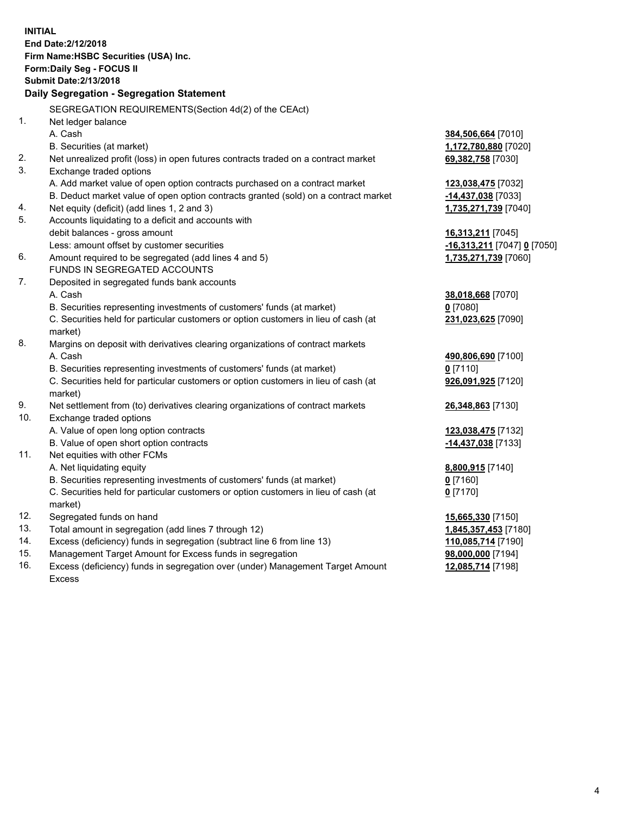**INITIAL End Date:2/12/2018 Firm Name:HSBC Securities (USA) Inc. Form:Daily Seg - FOCUS II Submit Date:2/13/2018 Daily Segregation - Segregation Statement** SEGREGATION REQUIREMENTS(Section 4d(2) of the CEAct) 1. Net ledger balance A. Cash **384,506,664** [7010] B. Securities (at market) **1,172,780,880** [7020] 2. Net unrealized profit (loss) in open futures contracts traded on a contract market **69,382,758** [7030] 3. Exchange traded options A. Add market value of open option contracts purchased on a contract market **123,038,475** [7032] B. Deduct market value of open option contracts granted (sold) on a contract market **-14,437,038** [7033] 4. Net equity (deficit) (add lines 1, 2 and 3) **1,735,271,739** [7040] 5. Accounts liquidating to a deficit and accounts with debit balances - gross amount **16,313,211** [7045] Less: amount offset by customer securities **-16,313,211** [7047] **0** [7050] 6. Amount required to be segregated (add lines 4 and 5) **1,735,271,739** [7060] FUNDS IN SEGREGATED ACCOUNTS 7. Deposited in segregated funds bank accounts A. Cash **38,018,668** [7070] B. Securities representing investments of customers' funds (at market) **0** [7080] C. Securities held for particular customers or option customers in lieu of cash (at market) **231,023,625** [7090] 8. Margins on deposit with derivatives clearing organizations of contract markets A. Cash **490,806,690** [7100] B. Securities representing investments of customers' funds (at market) **0** [7110] C. Securities held for particular customers or option customers in lieu of cash (at market) **926,091,925** [7120] 9. Net settlement from (to) derivatives clearing organizations of contract markets **26,348,863** [7130] 10. Exchange traded options A. Value of open long option contracts **123,038,475** [7132] B. Value of open short option contracts **-14,437,038** [7133] 11. Net equities with other FCMs A. Net liquidating equity **8,800,915** [7140] B. Securities representing investments of customers' funds (at market) **0** [7160] C. Securities held for particular customers or option customers in lieu of cash (at market) **0** [7170] 12. Segregated funds on hand **15,665,330** [7150] 13. Total amount in segregation (add lines 7 through 12) **1,845,357,453** [7180] 14. Excess (deficiency) funds in segregation (subtract line 6 from line 13) **110,085,714** [7190] 15. Management Target Amount for Excess funds in segregation **98,000,000** [7194]

16. Excess (deficiency) funds in segregation over (under) Management Target Amount Excess

**12,085,714** [7198]